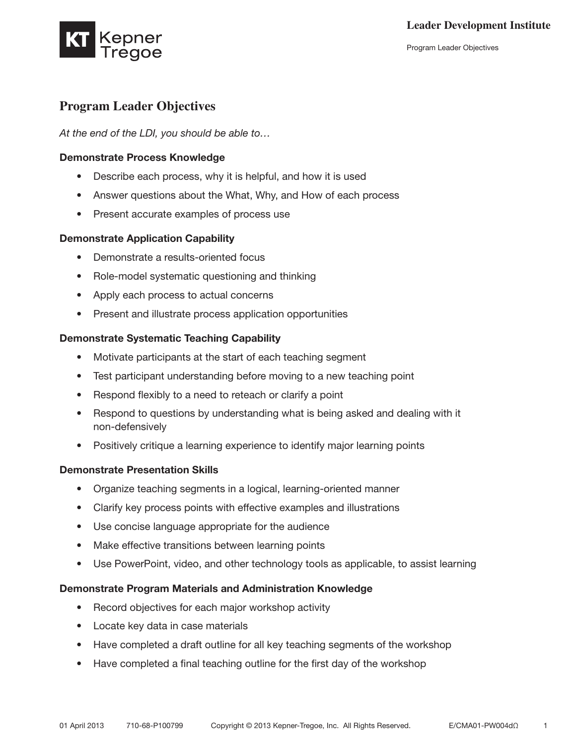

# **Program Leader Objectives**

*At the end of the LDI, you should be able to…*

#### Demonstrate Process Knowledge

- Describe each process, why it is helpful, and how it is used
- Answer questions about the What, Why, and How of each process
- • Present accurate examples of process use

#### Demonstrate Application Capability

- • Demonstrate a results-oriented focus
- Role-model systematic questioning and thinking
- • Apply each process to actual concerns
- Present and illustrate process application opportunities

#### Demonstrate Systematic Teaching Capability

- Motivate participants at the start of each teaching segment
- Test participant understanding before moving to a new teaching point
- Respond flexibly to a need to reteach or clarify a point
- Respond to questions by understanding what is being asked and dealing with it non-defensively
- Positively critique a learning experience to identify major learning points

#### Demonstrate Presentation Skills

- Organize teaching segments in a logical, learning-oriented manner
- Clarify key process points with effective examples and illustrations
- Use concise language appropriate for the audience
- Make effective transitions between learning points
- Use PowerPoint, video, and other technology tools as applicable, to assist learning

#### Demonstrate Program Materials and Administration Knowledge

- Record objectives for each major workshop activity
- • Locate key data in case materials
- Have completed a draft outline for all key teaching segments of the workshop
- Have completed a final teaching outline for the first day of the workshop